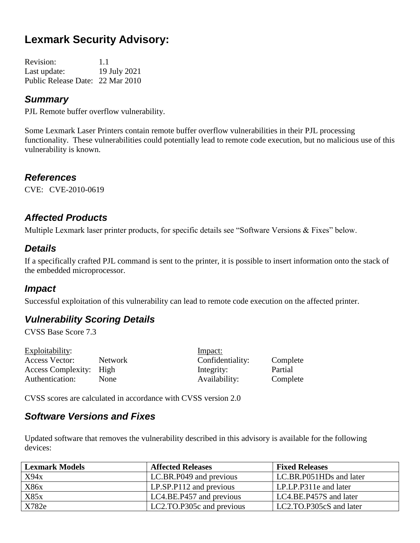# **Lexmark Security Advisory:**

Revision: 1.1 Last update: 19 July 2021 Public Release Date: 22 Mar 2010

#### *Summary*

PJL Remote buffer overflow vulnerability.

Some Lexmark Laser Printers contain remote buffer overflow vulnerabilities in their PJL processing functionality. These vulnerabilities could potentially lead to remote code execution, but no malicious use of this vulnerability is known.

#### *References*

CVE: CVE-2010-0619

## *Affected Products*

Multiple Lexmark laser printer products, for specific details see "Software Versions & Fixes" below.

#### *Details*

If a specifically crafted PJL command is sent to the printer, it is possible to insert information onto the stack of the embedded microprocessor.

#### *Impact*

Successful exploitation of this vulnerability can lead to remote code execution on the affected printer.

## *Vulnerability Scoring Details*

CVSS Base Score 7.3

| Exploitability:         |             | Impact:          |          |
|-------------------------|-------------|------------------|----------|
| Access Vector:          | Network     | Confidentiality: | Complete |
| Access Complexity: High |             | Integrity:       | Partial  |
| Authentication:         | <b>None</b> | Availability:    | Complete |
|                         |             |                  |          |

CVSS scores are calculated in accordance with CVSS version 2.0

#### *Software Versions and Fixes*

Updated software that removes the vulnerability described in this advisory is available for the following devices:

| <b>Lexmark Models</b> | <b>Affected Releases</b>         | <b>Fixed Releases</b>   |
|-----------------------|----------------------------------|-------------------------|
| X94x                  | LC.BR.P049 and previous          | LC.BR.P051HDs and later |
| <b>X86x</b>           | $LP.\text{SP}.P112$ and previous | LP.LP.P311e and later   |
| X85x                  | LC4.BE.P457 and previous         | LC4.BE.P457S and later  |
| X782e                 | LC2.TO.P305c and previous        | LC2.TO.P305cS and later |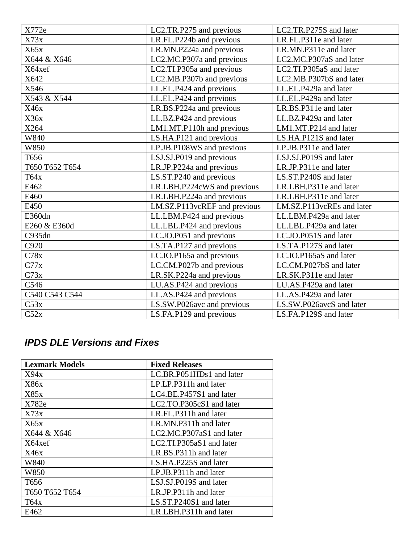| X772e          | LC2.TR.P275 and previous     | LC2.TR.P275S and later    |
|----------------|------------------------------|---------------------------|
| X73x           | LR.FL.P224b and previous     | LR.FL.P311e and later     |
| X65x           | LR.MN.P224a and previous     | LR.MN.P311e and later     |
| X644 & X646    | LC2.MC.P307a and previous    | LC2.MC.P307aS and later   |
| X64xef         | LC2.TI.P305a and previous    | LC2.TI.P305aS and later   |
| X642           | LC2.MB.P307b and previous    | LC2.MB.P307bS and later   |
| X546           | LL.EL.P424 and previous      | LL.EL.P429a and later     |
| X543 & X544    | LL.EL.P424 and previous      | LL.EL.P429a and later     |
| X46x           | LR.BS.P224a and previous     | LR.BS.P311e and later     |
| X36x           | LL.BZ.P424 and previous      | LL.BZ.P429a and later     |
| X264           | LM1.MT.P110h and previous    | LM1.MT.P214 and later     |
| W840           | LS.HA.P121 and previous      | LS.HA.P121S and later     |
| W850           | LP.JB.P108WS and previous    | LP.JB.P311e and later     |
| T656           | LSJ.SJ.P019 and previous     | LSJ.SJ.P019S and later    |
| T650 T652 T654 | LR.JP.P224a and previous     | LR.JP.P311e and later     |
| T64x           | LS.ST.P240 and previous      | LS.ST.P240S and later     |
| E462           | LR.LBH.P224cWS and previous  | LR.LBH.P311e and later    |
| E460           | LR.LBH.P224a and previous    | LR.LBH.P311e and later    |
| E450           | LM.SZ.P113vcREF and previous | LM.SZ.P113vcREs and later |
| E360dn         | LL.LBM.P424 and previous     | LL.LBM.P429a and later    |
| E260 & E360d   | LL.LBL.P424 and previous     | LL.LBL.P429a and later    |
| C935dn         | LC.JO.P051 and previous      | LC.JO.P051S and later     |
| C920           | LS.TA.P127 and previous      | LS.TA.P127S and later     |
| C78x           | LC.IO.P165a and previous     | LC.IO.P165aS and later    |
| C77x           | LC.CM.P027b and previous     | LC.CM.P027bS and later    |
| C73x           | LR.SK.P224a and previous     | LR.SK.P311e and later     |
| C546           | LU.AS.P424 and previous      | LU.AS.P429a and later     |
| C540 C543 C544 | LL.AS.P424 and previous      | LL.AS.P429a and later     |
| C53x           | LS.SW.P026avc and previous   | LS.SW.P026avcS and later  |
| C52x           | LS.FA.P129 and previous      | LS.FA.P129S and later     |

# *IPDS DLE Versions and Fixes*

| <b>Lexmark Models</b> | <b>Fixed Releases</b>       |
|-----------------------|-----------------------------|
| X94x                  | LC.BR.P051HDs1 and later    |
| X86x                  | LP.LP.P311h and later       |
| X85x                  | LC4.BE.P457S1 and later     |
| X782e                 | LC2.TO.P305cS1 and later    |
| X73x                  | LR.FL.P311h and later       |
| X65x                  | LR.MN.P311h and later       |
| X644 & X646           | LC2.MC.P307aS1 and later    |
| X64xef                | $LC2. TI.P305aS1$ and later |
| X46x                  | LR.BS.P311h and later       |
| W840                  | LS.HA.P225S and later       |
| W850                  | LP.JB.P311h and later       |
| T <sub>656</sub>      | LSJ.SJ.P019S and later      |
| T650 T652 T654        | LR.JP.P311h and later       |
| T64x                  | LS.ST.P240S1 and later      |
| E462                  | LR.LBH.P311h and later      |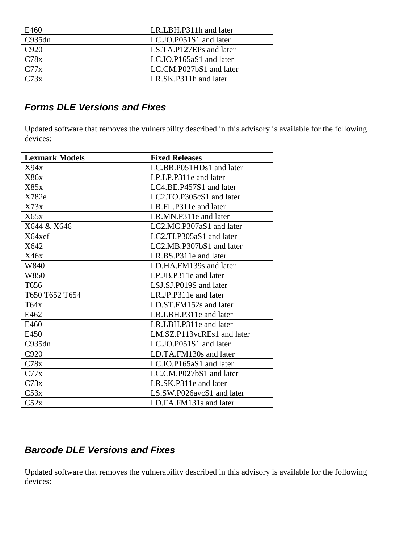| E460   | LR.LBH.P311h and later  |
|--------|-------------------------|
| C935dn | LC.JO.P051S1 and later  |
| C920   | LS.TA.P127EPs and later |
| C78x   | LC.IO.P165aS1 and later |
| C77x   | LC.CM.P027bS1 and later |
| C73x   | LR.SK.P311h and later   |

## *Forms DLE Versions and Fixes*

Updated software that removes the vulnerability described in this advisory is available for the following devices:

| <b>Lexmark Models</b> | <b>Fixed Releases</b>      |
|-----------------------|----------------------------|
| X94x                  | LC.BR.P051HDs1 and later   |
| X86x                  | LP.LP.P311e and later      |
| X85x                  | LC4.BE.P457S1 and later    |
| X782e                 | LC2.TO.P305cS1 and later   |
| X73x                  | LR.FL.P311e and later      |
| X65x                  | LR.MN.P311e and later      |
| X644 & X646           | LC2.MC.P307aS1 and later   |
| X64xef                | LC2.TI.P305aS1 and later   |
| X642                  | LC2.MB.P307bS1 and later   |
| X46x                  | LR.BS.P311e and later      |
| W840                  | LD.HA.FM139s and later     |
| W850                  | LP.JB.P311e and later      |
| T <sub>656</sub>      | LSJ.SJ.P019S and later     |
| T650 T652 T654        | LR.JP.P311e and later      |
| T64x                  | LD.ST.FM152s and later     |
| E462                  | LR.LBH.P311e and later     |
| E460                  | LR.LBH.P311e and later     |
| E450                  | LM.SZ.P113vcREs1 and later |
| C935dn                | LC.JO.P051S1 and later     |
| C920                  | LD.TA.FM130s and later     |
| C78x                  | LC.IO.P165aS1 and later    |
| C77x                  | LC.CM.P027bS1 and later    |
| C73x                  | LR.SK.P311e and later      |
| C53x                  | LS.SW.P026avcS1 and later  |
| C52x                  | LD.FA.FM131s and later     |

#### *Barcode DLE Versions and Fixes*

Updated software that removes the vulnerability described in this advisory is available for the following devices: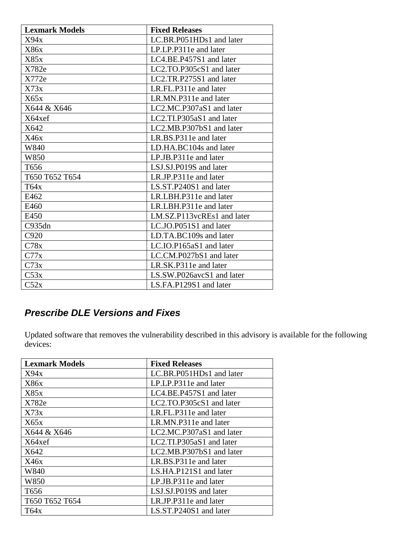| <b>Lexmark Models</b> | <b>Fixed Releases</b>      |
|-----------------------|----------------------------|
| X94x                  | LC.BR.P051HDs1 and later   |
| X86x                  | LP.LP.P311e and later      |
| X85x                  | LC4.BE.P457S1 and later    |
| X782e                 | LC2.TO.P305cS1 and later   |
| X772e                 | LC2.TR.P275S1 and later    |
| X73x                  | LR.FL.P311e and later      |
| X65x                  | LR.MN.P311e and later      |
| X644 & X646           | LC2.MC.P307aS1 and later   |
| X64xef                | LC2.TI.P305aS1 and later   |
| X642                  | LC2.MB.P307bS1 and later   |
| X46x                  | LR.BS.P311e and later      |
| W840                  | LD.HA.BC104s and later     |
| W850                  | LP.JB.P311e and later      |
| T656                  | LSJ.SJ.P019S and later     |
| T650 T652 T654        | LR.JP.P311e and later      |
| T64x                  | LS.ST.P240S1 and later     |
| E462                  | LR.LBH.P311e and later     |
| E460                  | LR.LBH.P311e and later     |
| E450                  | LM.SZ.P113vcREs1 and later |
| C935dn                | LC.JO.P051S1 and later     |
| C920                  | LD.TA.BC109s and later     |
| C78x                  | LC.IO.P165aS1 and later    |
| C77x                  | LC.CM.P027bS1 and later    |
| C73x                  | LR.SK.P311e and later      |
| C53x                  | LS.SW.P026avcS1 and later  |
| C52x                  | LS.FA.P129S1 and later     |

## *Prescribe DLE Versions and Fixes*

Updated software that removes the vulnerability described in this advisory is available for the following devices:

| <b>Lexmark Models</b> | <b>Fixed Releases</b>    |
|-----------------------|--------------------------|
| X94x                  | LC.BR.P051HDs1 and later |
| X86x                  | LP.LP.P311e and later    |
| X85x                  | LC4.BE.P457S1 and later  |
| X782e                 | LC2.TO.P305cS1 and later |
| X73x                  | LR.FL.P311e and later    |
| X65x                  | LR.MN.P311e and later    |
| X644 & X646           | LC2.MC.P307aS1 and later |
| X64xef                | LC2.TI.P305aS1 and later |
| X642                  | LC2.MB.P307bS1 and later |
| X46x                  | LR.BS.P311e and later    |
| W840                  | LS.HA.P121S1 and later   |
| W850                  | LP.JB.P311e and later    |
| T656                  | LSJ.SJ.P019S and later   |
| T650 T652 T654        | LR.JP.P311e and later    |
| T64x                  | LS.ST.P240S1 and later   |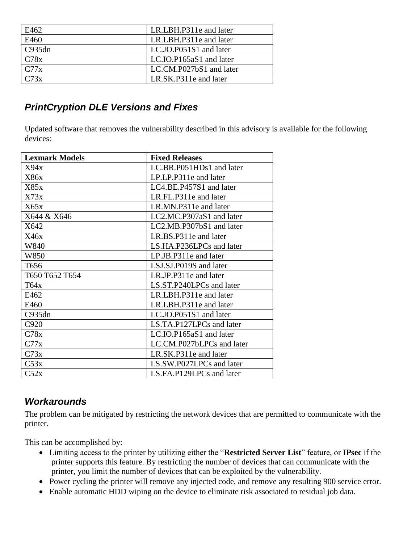| E462   | LR.LBH.P311e and later  |
|--------|-------------------------|
| E460   | LR.LBH.P311e and later  |
| C935dn | LC.JO.P051S1 and later  |
| C78x   | LC.IO.P165aS1 and later |
| C77x   | LC.CM.P027bS1 and later |
| C73x   | LR.SK.P311e and later   |

#### *PrintCryption DLE Versions and Fixes*

Updated software that removes the vulnerability described in this advisory is available for the following devices:

| <b>Lexmark Models</b> | <b>Fixed Releases</b>     |
|-----------------------|---------------------------|
| X94x                  | LC.BR.P051HDs1 and later  |
| X86x                  | LP.LP.P311e and later     |
| X85x                  | LC4.BE.P457S1 and later   |
| X73x                  | LR.FL.P311e and later     |
| X65x                  | LR.MN.P311e and later     |
| X644 & X646           | LC2.MC.P307aS1 and later  |
| X642                  | LC2.MB.P307bS1 and later  |
| X46x                  | LR.BS.P311e and later     |
| W840                  | LS.HA.P236LPCs and later  |
| W850                  | LP.JB.P311e and later     |
| T656                  | LSJ.SJ.P019S and later    |
| T650 T652 T654        | LR.JP.P311e and later     |
| T64x                  | LS.ST.P240LPCs and later  |
| E462                  | LR.LBH.P311e and later    |
| E460                  | LR.LBH.P311e and later    |
| C935dn                | LC.JO.P051S1 and later    |
| C920                  | LS.TA.P127LPCs and later  |
| C78x                  | LC.IO.P165aS1 and later   |
| C77x                  | LC.CM.P027bLPCs and later |
| C73x                  | LR.SK.P311e and later     |
| C53x                  | LS.SW.P027LPCs and later  |
| C52x                  | LS.FA.P129LPCs and later  |

#### *Workarounds*

The problem can be mitigated by restricting the network devices that are permitted to communicate with the printer.

This can be accomplished by:

- Limiting access to the printer by utilizing either the "**Restricted Server List**" feature, or **IPsec** if the printer supports this feature. By restricting the number of devices that can communicate with the printer, you limit the number of devices that can be exploited by the vulnerability.
- Power cycling the printer will remove any injected code, and remove any resulting 900 service error.
- Enable automatic HDD wiping on the device to eliminate risk associated to residual job data.